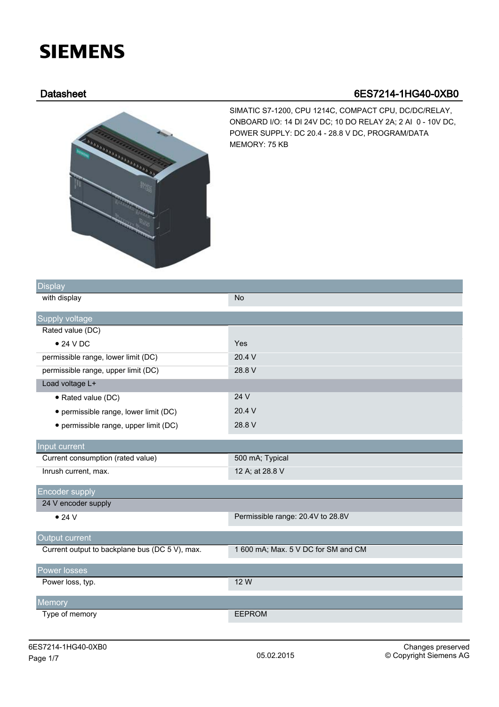## **SIEMENS**

## Datasheet 6ES7214-1HG40-0XB0



SIMATIC S7-1200, CPU 1214C, COMPACT CPU, DC/DC/RELAY, ONBOARD I/O: 14 DI 24V DC; 10 DO RELAY 2A; 2 AI 0 - 10V DC, POWER SUPPLY: DC 20.4 - 28.8 V DC, PROGRAM/DATA MEMORY: 75 KB

| <b>Display</b>                                 |                                     |
|------------------------------------------------|-------------------------------------|
| with display                                   | <b>No</b>                           |
| Supply voltage                                 |                                     |
| Rated value (DC)                               |                                     |
| $\bullet$ 24 V DC                              | Yes                                 |
| permissible range, lower limit (DC)            | 20.4 V                              |
| permissible range, upper limit (DC)            | 28.8 V                              |
| Load voltage L+                                |                                     |
| · Rated value (DC)                             | 24 V                                |
| • permissible range, lower limit (DC)          | 20.4 V                              |
| · permissible range, upper limit (DC)          | 28.8 V                              |
| Input current                                  |                                     |
| Current consumption (rated value)              | 500 mA; Typical                     |
| Inrush current, max.                           | 12 A; at 28.8 V                     |
| Encoder supply                                 |                                     |
| 24 V encoder supply                            |                                     |
| $\bullet$ 24 V                                 | Permissible range: 20.4V to 28.8V   |
| Output current                                 |                                     |
| Current output to backplane bus (DC 5 V), max. | 1 600 mA; Max. 5 V DC for SM and CM |
| Power losses                                   |                                     |
| Power loss, typ.                               | 12 W                                |
| Memory                                         |                                     |
| Type of memory                                 | <b>EEPROM</b>                       |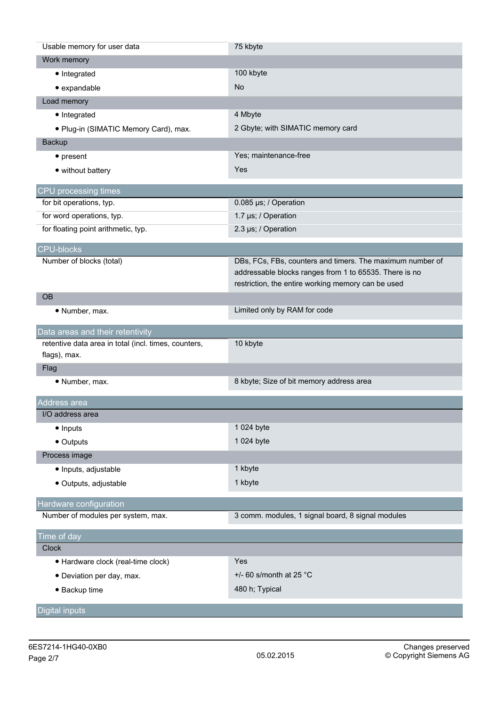| Usable memory for user data                          | 75 kbyte                                                  |
|------------------------------------------------------|-----------------------------------------------------------|
| Work memory                                          |                                                           |
| • Integrated                                         | 100 kbyte                                                 |
| · expandable                                         | No                                                        |
| Load memory                                          |                                                           |
| • Integrated                                         | 4 Mbyte                                                   |
| · Plug-in (SIMATIC Memory Card), max.                | 2 Gbyte; with SIMATIC memory card                         |
| Backup                                               |                                                           |
| $\bullet$ present                                    | Yes; maintenance-free                                     |
| • without battery                                    | Yes                                                       |
|                                                      |                                                           |
| CPU processing times                                 |                                                           |
| for bit operations, typ.                             | 0.085 µs; / Operation                                     |
| for word operations, typ.                            | 1.7 µs; / Operation                                       |
| for floating point arithmetic, typ.                  | 2.3 µs; / Operation                                       |
| <b>CPU-blocks</b>                                    |                                                           |
| Number of blocks (total)                             | DBs, FCs, FBs, counters and timers. The maximum number of |
|                                                      | addressable blocks ranges from 1 to 65535. There is no    |
|                                                      | restriction, the entire working memory can be used        |
| <b>OB</b>                                            |                                                           |
| • Number, max.                                       | Limited only by RAM for code                              |
| Data areas and their retentivity                     |                                                           |
| retentive data area in total (incl. times, counters, | 10 kbyte                                                  |
| flags), max.                                         |                                                           |
| Flag                                                 |                                                           |
| · Number, max.                                       | 8 kbyte; Size of bit memory address area                  |
|                                                      |                                                           |
| Address area                                         |                                                           |
| I/O address area                                     |                                                           |
| • Inputs                                             | 1 024 byte                                                |
| • Outputs                                            | 1 024 byte                                                |
| Process image                                        |                                                           |
| · Inputs, adjustable                                 | 1 kbyte                                                   |
| · Outputs, adjustable                                | 1 kbyte                                                   |
| Hardware configuration                               |                                                           |
| Number of modules per system, max.                   | 3 comm. modules, 1 signal board, 8 signal modules         |
|                                                      |                                                           |
| Time of day                                          |                                                           |
| <b>Clock</b>                                         |                                                           |
| · Hardware clock (real-time clock)                   |                                                           |
|                                                      | Yes                                                       |
| • Deviation per day, max.                            | $+/-$ 60 s/month at 25 °C                                 |
| • Backup time                                        | 480 h; Typical                                            |
| <b>Digital inputs</b>                                |                                                           |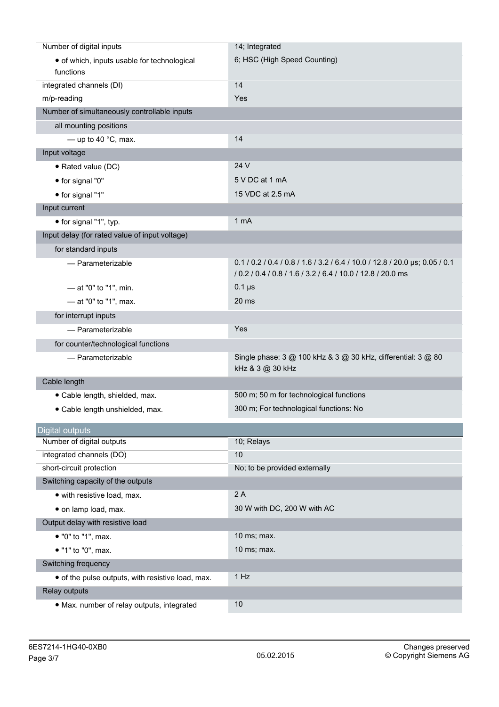| Number of digital inputs                          | 14; Integrated                                                                                                                             |
|---------------------------------------------------|--------------------------------------------------------------------------------------------------------------------------------------------|
| • of which, inputs usable for technological       | 6; HSC (High Speed Counting)                                                                                                               |
| functions                                         |                                                                                                                                            |
| integrated channels (DI)                          | 14                                                                                                                                         |
| m/p-reading                                       | Yes                                                                                                                                        |
| Number of simultaneously controllable inputs      |                                                                                                                                            |
| all mounting positions                            |                                                                                                                                            |
| $-$ up to 40 $^{\circ}$ C, max.                   | 14                                                                                                                                         |
| Input voltage                                     |                                                                                                                                            |
| • Rated value (DC)                                | 24 V                                                                                                                                       |
| • for signal "0"                                  | 5 V DC at 1 mA                                                                                                                             |
| • for signal "1"                                  | 15 VDC at 2.5 mA                                                                                                                           |
| Input current                                     |                                                                                                                                            |
| • for signal "1", typ.                            | 1 <sub>mA</sub>                                                                                                                            |
| Input delay (for rated value of input voltage)    |                                                                                                                                            |
| for standard inputs                               |                                                                                                                                            |
| - Parameterizable                                 | 0.1 / 0.2 / 0.4 / 0.8 / 1.6 / 3.2 / 6.4 / 10.0 / 12.8 / 20.0 µs; 0.05 / 0.1<br>/ 0.2 / 0.4 / 0.8 / 1.6 / 3.2 / 6.4 / 10.0 / 12.8 / 20.0 ms |
| - at "0" to "1", min.                             | $0.1 \,\mu s$                                                                                                                              |
| $-$ at "0" to "1", max.                           | 20 <sub>ms</sub>                                                                                                                           |
| for interrupt inputs                              |                                                                                                                                            |
| - Parameterizable                                 | Yes                                                                                                                                        |
| for counter/technological functions               |                                                                                                                                            |
| - Parameterizable                                 | Single phase: 3 @ 100 kHz & 3 @ 30 kHz, differential: 3 @ 80<br>kHz & 3 @ 30 kHz                                                           |
| Cable length                                      |                                                                                                                                            |
| · Cable length, shielded, max.                    | 500 m; 50 m for technological functions                                                                                                    |
| · Cable length unshielded, max.                   | 300 m; For technological functions: No                                                                                                     |
| <b>Digital outputs</b>                            |                                                                                                                                            |
| Number of digital outputs                         | 10; Relays                                                                                                                                 |
| integrated channels (DO)                          | 10                                                                                                                                         |
| short-circuit protection                          | No; to be provided externally                                                                                                              |
| Switching capacity of the outputs                 |                                                                                                                                            |
| • with resistive load, max.                       | 2A                                                                                                                                         |
| · on lamp load, max.                              | 30 W with DC, 200 W with AC                                                                                                                |
| Output delay with resistive load                  |                                                                                                                                            |
| • "0" to "1", max.                                | 10 ms; max.                                                                                                                                |
| • "1" to "0", max.                                | 10 ms; max.                                                                                                                                |
| Switching frequency                               |                                                                                                                                            |
| • of the pulse outputs, with resistive load, max. | 1 Hz                                                                                                                                       |
| Relay outputs                                     |                                                                                                                                            |
| · Max. number of relay outputs, integrated        | 10                                                                                                                                         |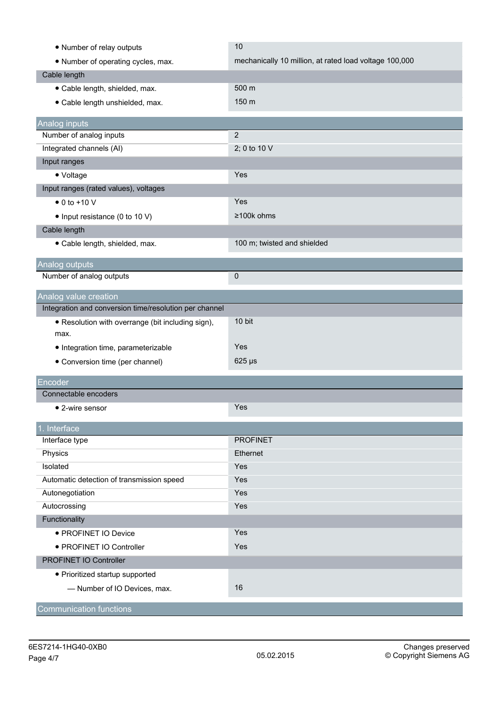| • Number of relay outputs                              | 10                                                     |
|--------------------------------------------------------|--------------------------------------------------------|
| • Number of operating cycles, max.                     | mechanically 10 million, at rated load voltage 100,000 |
| Cable length                                           |                                                        |
| · Cable length, shielded, max.                         | 500 m                                                  |
| · Cable length unshielded, max.                        | 150 m                                                  |
|                                                        |                                                        |
| Analog inputs                                          |                                                        |
| Number of analog inputs                                | $\overline{2}$                                         |
| Integrated channels (AI)                               | 2; 0 to 10 V                                           |
| Input ranges                                           |                                                        |
| $\bullet$ Voltage                                      | Yes                                                    |
| Input ranges (rated values), voltages                  |                                                        |
| $\bullet$ 0 to +10 V                                   | Yes                                                    |
| • Input resistance (0 to 10 V)                         | ≥100k ohms                                             |
| Cable length                                           |                                                        |
| · Cable length, shielded, max.                         | 100 m; twisted and shielded                            |
| Analog outputs                                         |                                                        |
| Number of analog outputs                               | 0                                                      |
|                                                        |                                                        |
| Analog value creation                                  |                                                        |
| Integration and conversion time/resolution per channel |                                                        |
| • Resolution with overrange (bit including sign),      | 10 bit                                                 |
| max.                                                   | Yes                                                    |
| • Integration time, parameterizable                    |                                                        |
| • Conversion time (per channel)                        | $625 \,\mu s$                                          |
| Encoder                                                |                                                        |
| Connectable encoders                                   |                                                        |
| • 2-wire sensor                                        | Yes                                                    |
| 1. Interface                                           |                                                        |
| Interface type                                         | <b>PROFINET</b>                                        |
| Physics                                                | Ethernet                                               |
| Isolated                                               | Yes                                                    |
| Automatic detection of transmission speed              | Yes                                                    |
| Autonegotiation                                        | Yes                                                    |
| Autocrossing                                           | Yes                                                    |
| Functionality                                          |                                                        |
| • PROFINET IO Device                                   | Yes                                                    |
| · PROFINET IO Controller                               | Yes                                                    |
| PROFINET IO Controller                                 |                                                        |
| • Prioritized startup supported                        |                                                        |
| - Number of IO Devices, max.                           | 16                                                     |
|                                                        |                                                        |
| <b>Communication functions</b>                         |                                                        |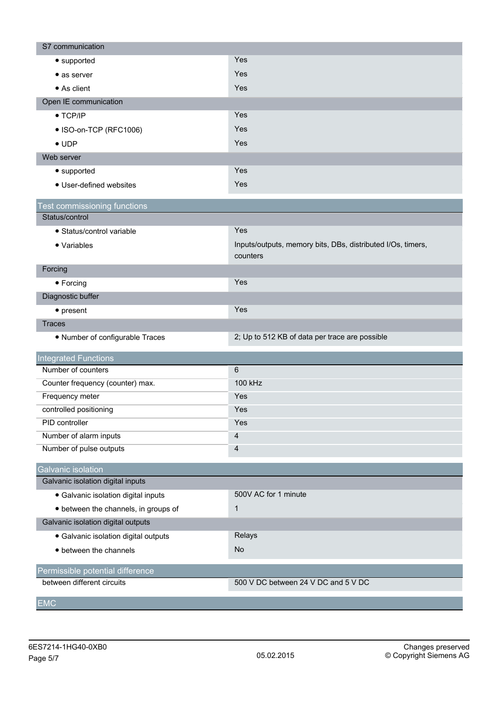| Yes<br>• supported<br>Yes<br>$\bullet$ as server<br>Yes<br>• As client<br>Open IE communication |  |
|-------------------------------------------------------------------------------------------------|--|
|                                                                                                 |  |
|                                                                                                 |  |
|                                                                                                 |  |
|                                                                                                 |  |
| Yes<br>$\bullet$ TCP/IP                                                                         |  |
| Yes<br>• ISO-on-TCP (RFC1006)                                                                   |  |
| Yes<br>$\bullet$ UDP                                                                            |  |
| Web server                                                                                      |  |
| Yes<br>• supported                                                                              |  |
| Yes<br>• User-defined websites                                                                  |  |
| est commissioning functions                                                                     |  |
| Status/control                                                                                  |  |
| Yes<br>• Status/control variable                                                                |  |
| Inputs/outputs, memory bits, DBs, distributed I/Os, timers,<br>• Variables<br>counters          |  |
| Forcing                                                                                         |  |
| Yes<br>• Forcing                                                                                |  |
| Diagnostic buffer                                                                               |  |
| Yes<br>$\bullet$ present                                                                        |  |
| <b>Traces</b>                                                                                   |  |
| 2; Up to 512 KB of data per trace are possible<br>• Number of configurable Traces               |  |
| <b>Integrated Functions</b>                                                                     |  |
| Number of counters<br>$6\phantom{1}$                                                            |  |
| 100 kHz<br>Counter frequency (counter) max.                                                     |  |
| Frequency meter<br>Yes                                                                          |  |
| controlled positioning<br>Yes                                                                   |  |
| PID controller<br>Yes                                                                           |  |
| Number of alarm inputs<br>4                                                                     |  |
| Number of pulse outputs<br>$\overline{4}$                                                       |  |
| Galvanic isolation                                                                              |  |
| Galvanic isolation digital inputs                                                               |  |
| 500V AC for 1 minute<br>· Galvanic isolation digital inputs                                     |  |
| $\mathbf{1}$<br>• between the channels, in groups of                                            |  |
| Galvanic isolation digital outputs                                                              |  |
| Relays<br>· Galvanic isolation digital outputs                                                  |  |
| <b>No</b><br>• between the channels                                                             |  |
| Permissible potential difference                                                                |  |
| between different circuits<br>500 V DC between 24 V DC and 5 V DC                               |  |
| <b>EMC</b>                                                                                      |  |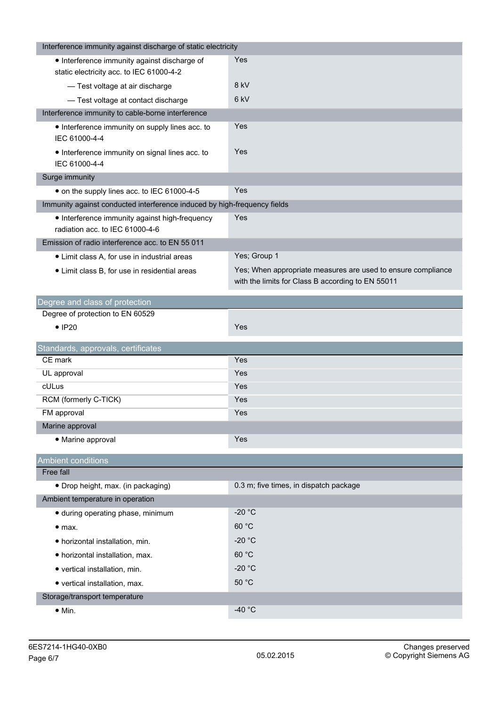| Interference immunity against discharge of static electricity                            |                                                                                                                   |
|------------------------------------------------------------------------------------------|-------------------------------------------------------------------------------------------------------------------|
| • Interference immunity against discharge of<br>static electricity acc. to IEC 61000-4-2 | Yes                                                                                                               |
| - Test voltage at air discharge                                                          | 8 kV                                                                                                              |
| - Test voltage at contact discharge                                                      | 6 <sub>kV</sub>                                                                                                   |
| Interference immunity to cable-borne interference                                        |                                                                                                                   |
| • Interference immunity on supply lines acc. to<br>IEC 61000-4-4                         | Yes                                                                                                               |
| • Interference immunity on signal lines acc. to<br>IEC 61000-4-4                         | Yes                                                                                                               |
| Surge immunity                                                                           |                                                                                                                   |
| • on the supply lines acc. to IEC 61000-4-5                                              | Yes                                                                                                               |
| Immunity against conducted interference induced by high-frequency fields                 |                                                                                                                   |
| • Interference immunity against high-frequency<br>radiation acc. to IEC 61000-4-6        | Yes                                                                                                               |
| Emission of radio interference acc. to EN 55 011                                         |                                                                                                                   |
| • Limit class A, for use in industrial areas                                             | Yes; Group 1                                                                                                      |
| • Limit class B, for use in residential areas                                            | Yes; When appropriate measures are used to ensure compliance<br>with the limits for Class B according to EN 55011 |
| Degree and class of protection                                                           |                                                                                                                   |
| Degree of protection to EN 60529                                                         |                                                                                                                   |
| $\bullet$ IP20                                                                           | Yes                                                                                                               |
| Standards, approvals, certificates                                                       |                                                                                                                   |
| CE mark                                                                                  | Yes                                                                                                               |
| UL approval                                                                              | Yes                                                                                                               |
| cULus                                                                                    | Yes                                                                                                               |
| RCM (formerly C-TICK)                                                                    | Yes                                                                                                               |
| FM approval                                                                              | Yes                                                                                                               |
| Marine approval                                                                          |                                                                                                                   |
| • Marine approval                                                                        | Yes                                                                                                               |
| <b>Ambient conditions</b>                                                                |                                                                                                                   |
| Free fall                                                                                |                                                                                                                   |
| • Drop height, max. (in packaging)                                                       | 0.3 m; five times, in dispatch package                                                                            |
| Ambient temperature in operation                                                         |                                                                                                                   |
| · during operating phase, minimum                                                        | $-20 °C$                                                                                                          |
| • <sub>max.</sub>                                                                        | 60 °C                                                                                                             |
| · horizontal installation, min.                                                          | $-20 °C$                                                                                                          |
| • horizontal installation, max.                                                          | 60 °C                                                                                                             |
| • vertical installation, min.                                                            | $-20 °C$                                                                                                          |
| • vertical installation, max.                                                            | 50 °C                                                                                                             |
| Storage/transport temperature                                                            |                                                                                                                   |
| $\bullet$ Min.                                                                           | -40 $^{\circ}$ C                                                                                                  |
|                                                                                          |                                                                                                                   |